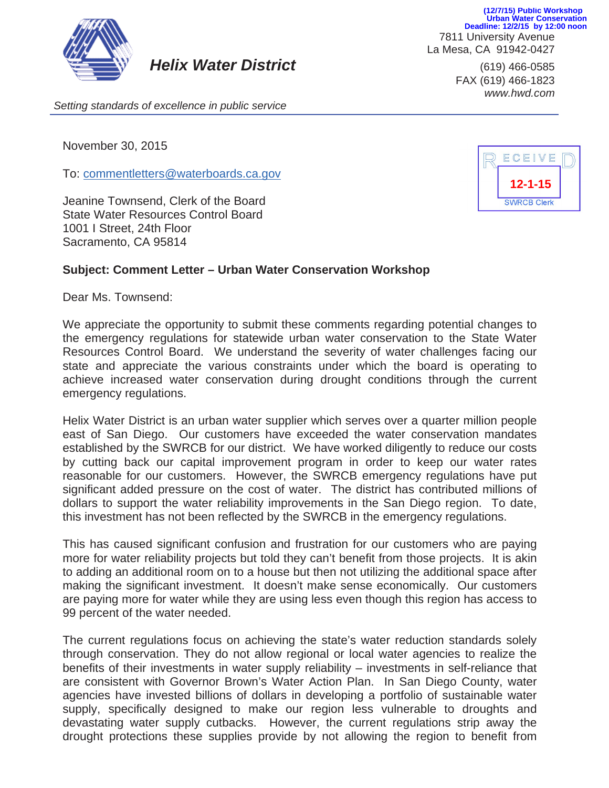

*Helix Water District* (619) 466-0585

7811 University Avenue La Mesa, CA 91942-0427 **(12/7/15) Public Workshop Urban Water Conservation Deadline: 12/2/15 by 12:00 noon**

> FAX (619) 466-1823 *www.hwd.com*

*Setting standards of excellence in public service*

November 30, 2015

To: commentletters@waterboards.ca.gov

Jeanine Townsend, Clerk of the Board State Water Resources Control Board 1001 I Street, 24th Floor Sacramento, CA 95814

## **Subject: Comment Letter – Urban Water Conservation Workshop**

Dear Ms. Townsend:

We appreciate the opportunity to submit these comments regarding potential changes to the emergency regulations for statewide urban water conservation to the State Water Resources Control Board. We understand the severity of water challenges facing our state and appreciate the various constraints under which the board is operating to achieve increased water conservation during drought conditions through the current emergency regulations.

Helix Water District is an urban water supplier which serves over a quarter million people east of San Diego. Our customers have exceeded the water conservation mandates established by the SWRCB for our district. We have worked diligently to reduce our costs by cutting back our capital improvement program in order to keep our water rates reasonable for our customers. However, the SWRCB emergency regulations have put significant added pressure on the cost of water. The district has contributed millions of dollars to support the water reliability improvements in the San Diego region. To date, this investment has not been reflected by the SWRCB in the emergency regulations.

This has caused significant confusion and frustration for our customers who are paying more for water reliability projects but told they can't benefit from those projects. It is akin to adding an additional room on to a house but then not utilizing the additional space after making the significant investment. It doesn't make sense economically. Our customers are paying more for water while they are using less even though this region has access to 99 percent of the water needed.

The current regulations focus on achieving the state's water reduction standards solely through conservation. They do not allow regional or local water agencies to realize the benefits of their investments in water supply reliability – investments in self-reliance that are consistent with Governor Brown's Water Action Plan. In San Diego County, water agencies have invested billions of dollars in developing a portfolio of sustainable water supply, specifically designed to make our region less vulnerable to droughts and devastating water supply cutbacks. However, the current regulations strip away the drought protections these supplies provide by not allowing the region to benefit from